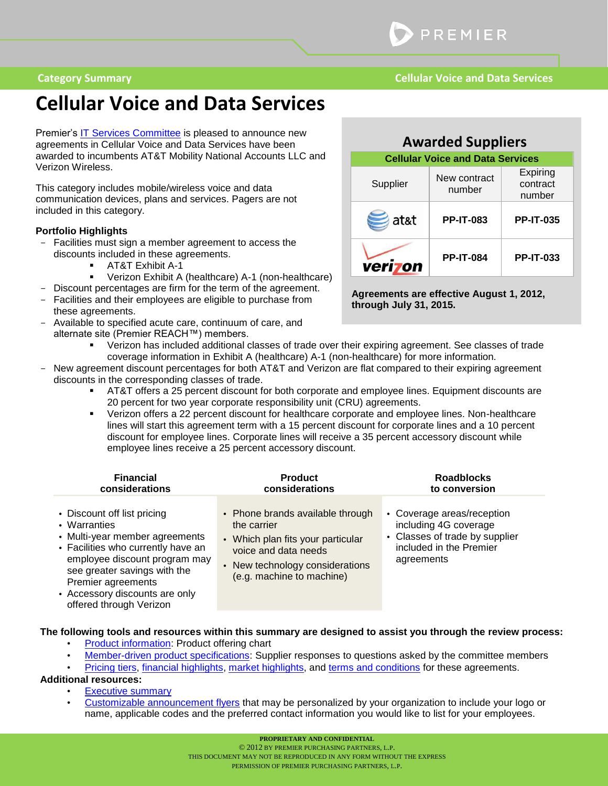## **Cellular Voice and Data Services**

Premier's [IT Services Committee](#page-7-0) is pleased to announce new agreements in Cellular Voice and Data Services have been awarded to incumbents AT&T Mobility National Accounts LLC and Verizon Wireless.

This category includes mobile/wireless voice and data communication devices, plans and services. Pagers are not included in this category.

#### **Portfolio Highlights**

- Facilities must sign a member agreement to access the discounts included in these agreements.
	- AT&T Exhibit A-1
	- Verizon Exhibit A (healthcare) A-1 (non-healthcare)
- Discount percentages are firm for the term of the agreement. Facilities and their employees are eligible to purchase from
- these agreements. Available to specified acute care, continuum of care, and
- alternate site (Premier REACH™) members.

| <b>Awarded Suppliers</b> |                                         |                                |  |
|--------------------------|-----------------------------------------|--------------------------------|--|
|                          | <b>Cellular Voice and Data Services</b> |                                |  |
| Supplier                 | New contract<br>number                  | Expiring<br>contract<br>number |  |
| at&t                     | <b>PP-IT-083</b>                        | <b>PP-IT-035</b>               |  |
| veriz                    | <b>PP-IT-084</b>                        | <b>PP-IT-033</b>               |  |

**Agreements are effective August 1, 2012, through July 31, 2015.**

- Verizon has included additional classes of trade over their expiring agreement. See classes of trade coverage information in Exhibit A (healthcare) A-1 (non-healthcare) for more information.
- New agreement discount percentages for both AT&T and Verizon are flat compared to their expiring agreement discounts in the corresponding classes of trade.
	- AT&T offers a 25 percent discount for both corporate and employee lines. Equipment discounts are 20 percent for two year corporate responsibility unit (CRU) agreements.
	- Verizon offers a 22 percent discount for healthcare corporate and employee lines. Non-healthcare lines will start this agreement term with a 15 percent discount for corporate lines and a 10 percent discount for employee lines. Corporate lines will receive a 35 percent accessory discount while employee lines receive a 25 percent accessory discount.

| <b>Financial</b>                                                                                                                                                                                                                                                        | <b>Product</b>                                                                                                                                                               | <b>Roadblocks</b>                                                                                                              |
|-------------------------------------------------------------------------------------------------------------------------------------------------------------------------------------------------------------------------------------------------------------------------|------------------------------------------------------------------------------------------------------------------------------------------------------------------------------|--------------------------------------------------------------------------------------------------------------------------------|
| considerations                                                                                                                                                                                                                                                          | considerations                                                                                                                                                               | to conversion                                                                                                                  |
| • Discount off list pricing<br>• Warranties<br>• Multi-year member agreements<br>• Facilities who currently have an<br>employee discount program may<br>see greater savings with the<br>Premier agreements<br>• Accessory discounts are only<br>offered through Verizon | • Phone brands available through<br>the carrier<br>• Which plan fits your particular<br>voice and data needs<br>• New technology considerations<br>(e.g. machine to machine) | • Coverage areas/reception<br>including 4G coverage<br>• Classes of trade by supplier<br>included in the Premier<br>agreements |

#### **The following tools and resources within this summary are designed to assist you through the review process:**

- [Product information:](#page-1-0) Product offering chart
- [Member-driven product specifications:](#page-1-1) Supplier responses to questions asked by the committee members
- [Pricing tiers,](#page-2-0) [financial highlights,](#page-4-0) [market highlights,](#page-6-0) and [terms and conditions](#page-6-1) for these agreements.

#### **Additional resources:**

- **[Executive summary](https://purchasing.premierinc.com/sca/catalog/ViewContent.action?contentId=PREINC_028302)**
- [Customizable announcement flyers](http://www.premierinc.com/employeediscount) that may be personalized by your organization to include your logo or name, applicable codes and the preferred contact information you would like to list for your employees.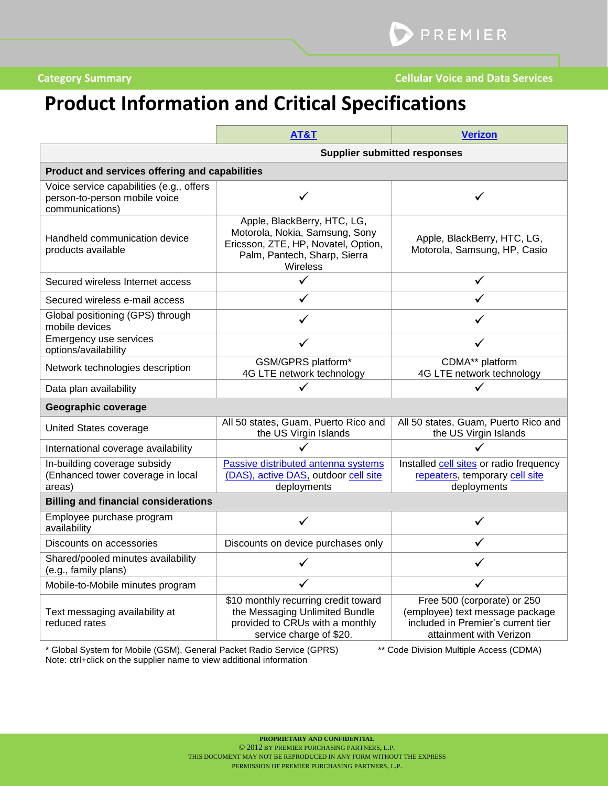# <span id="page-1-1"></span><span id="page-1-0"></span>**Product Information and Critical Specifications**

|                                                                                              | <b>AT&amp;T</b>                                                                                                                                  | <b>Verizon</b>                                                                                                                  |  |
|----------------------------------------------------------------------------------------------|--------------------------------------------------------------------------------------------------------------------------------------------------|---------------------------------------------------------------------------------------------------------------------------------|--|
| <b>Supplier submitted responses</b>                                                          |                                                                                                                                                  |                                                                                                                                 |  |
| Product and services offering and capabilities                                               |                                                                                                                                                  |                                                                                                                                 |  |
| Voice service capabilities (e.g., offers<br>person-to-person mobile voice<br>communications) |                                                                                                                                                  |                                                                                                                                 |  |
| Handheld communication device<br>products available                                          | Apple, BlackBerry, HTC, LG,<br>Motorola, Nokia, Samsung, Sony<br>Ericsson, ZTE, HP, Novatel, Option,<br>Palm, Pantech, Sharp, Sierra<br>Wireless | Apple, BlackBerry, HTC, LG,<br>Motorola, Samsung, HP, Casio                                                                     |  |
| Secured wireless Internet access                                                             |                                                                                                                                                  | ✓                                                                                                                               |  |
| Secured wireless e-mail access                                                               |                                                                                                                                                  |                                                                                                                                 |  |
| Global positioning (GPS) through<br>mobile devices                                           |                                                                                                                                                  |                                                                                                                                 |  |
| Emergency use services<br>options/availability                                               | ✓                                                                                                                                                | ✓                                                                                                                               |  |
| Network technologies description                                                             | GSM/GPRS platform*<br>4G LTE network technology                                                                                                  | CDMA** platform<br>4G LTE network technology                                                                                    |  |
| Data plan availability                                                                       |                                                                                                                                                  |                                                                                                                                 |  |
| Geographic coverage                                                                          |                                                                                                                                                  |                                                                                                                                 |  |
| United States coverage                                                                       | All 50 states, Guam, Puerto Rico and<br>the US Virgin Islands                                                                                    | All 50 states, Guam, Puerto Rico and<br>the US Virgin Islands                                                                   |  |
| International coverage availability                                                          |                                                                                                                                                  |                                                                                                                                 |  |
| In-building coverage subsidy<br>(Enhanced tower coverage in local<br>areas)                  | Passive distributed antenna systems<br>(DAS), active DAS, outdoor cell site<br>deployments                                                       | Installed cell sites or radio frequency<br>repeaters, temporary cell site<br>deployments                                        |  |
| <b>Billing and financial considerations</b>                                                  |                                                                                                                                                  |                                                                                                                                 |  |
| Employee purchase program<br>availability                                                    |                                                                                                                                                  | ✓                                                                                                                               |  |
| Discounts on accessories                                                                     | Discounts on device purchases only                                                                                                               | ✓                                                                                                                               |  |
| Shared/pooled minutes availability<br>(e.g., family plans)                                   |                                                                                                                                                  | ✓                                                                                                                               |  |
| Mobile-to-Mobile minutes program                                                             |                                                                                                                                                  |                                                                                                                                 |  |
| Text messaging availability at<br>reduced rates                                              | \$10 monthly recurring credit toward<br>the Messaging Unlimited Bundle<br>provided to CRUs with a monthly<br>service charge of \$20.             | Free 500 (corporate) or 250<br>(employee) text message package<br>included in Premier's current tier<br>attainment with Verizon |  |

\* Global System for Mobile (GSM), General Packet Radio Service (GPRS) \*\* Code Division Multiple Access (CDMA) Note: ctrl+click on the supplier name to view additional information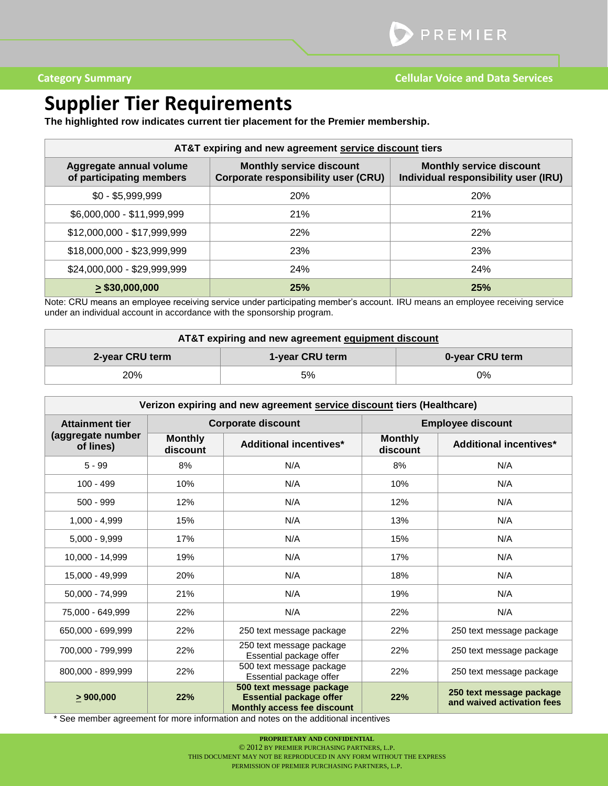## <span id="page-2-0"></span>**Supplier Tier Requirements**

**The highlighted row indicates current tier placement for the Premier membership.**

| AT&T expiring and new agreement service discount tiers |                                                                               |                                                                         |  |
|--------------------------------------------------------|-------------------------------------------------------------------------------|-------------------------------------------------------------------------|--|
| Aggregate annual volume<br>of participating members    | <b>Monthly service discount</b><br><b>Corporate responsibility user (CRU)</b> | <b>Monthly service discount</b><br>Individual responsibility user (IRU) |  |
| $$0 - $5,999,999$                                      | <b>20%</b>                                                                    | <b>20%</b>                                                              |  |
| \$6,000,000 - \$11,999,999                             | 21%                                                                           | 21%                                                                     |  |
| \$12,000,000 - \$17,999,999                            | 22%                                                                           | 22%                                                                     |  |
| \$18,000,000 - \$23,999,999                            | 23%                                                                           | 23%                                                                     |  |
| \$24,000,000 - \$29,999,999                            | <b>24%</b>                                                                    | <b>24%</b>                                                              |  |
| $\geq$ \$30,000,000                                    | 25%                                                                           | 25%                                                                     |  |

Note: CRU means an employee receiving service under participating member's account. IRU means an employee receiving service under an individual account in accordance with the sponsorship program.

| AT&T expiring and new agreement equipment discount |                 |                 |  |
|----------------------------------------------------|-----------------|-----------------|--|
| 2-year CRU term                                    | 1-year CRU term | 0-year CRU term |  |
| 20%                                                | 5%              | 0%              |  |

| Verizon expiring and new agreement service discount tiers (Healthcare) |                            |                                                                                                  |                            |                                                        |
|------------------------------------------------------------------------|----------------------------|--------------------------------------------------------------------------------------------------|----------------------------|--------------------------------------------------------|
| <b>Attainment tier</b>                                                 | <b>Corporate discount</b>  |                                                                                                  | <b>Employee discount</b>   |                                                        |
| (aggregate number<br>of lines)                                         | <b>Monthly</b><br>discount | <b>Additional incentives*</b>                                                                    | <b>Monthly</b><br>discount | <b>Additional incentives*</b>                          |
| $5 - 99$                                                               | 8%                         | N/A                                                                                              | 8%                         | N/A                                                    |
| $100 - 499$                                                            | 10%                        | N/A                                                                                              | 10%                        | N/A                                                    |
| $500 - 999$                                                            | 12%                        | N/A                                                                                              | 12%                        | N/A                                                    |
| $1,000 - 4,999$                                                        | 15%                        | N/A                                                                                              | 13%                        | N/A                                                    |
| $5.000 - 9.999$                                                        | 17%                        | N/A                                                                                              | 15%                        | N/A                                                    |
| 10.000 - 14.999                                                        | 19%                        | N/A                                                                                              | 17%                        | N/A                                                    |
| 15,000 - 49,999                                                        | 20%                        | N/A                                                                                              | 18%                        | N/A                                                    |
| 50,000 - 74,999                                                        | 21%                        | N/A                                                                                              | 19%                        | N/A                                                    |
| 75.000 - 649.999                                                       | 22%                        | N/A                                                                                              | 22%                        | N/A                                                    |
| 650,000 - 699,999                                                      | 22%                        | 250 text message package                                                                         | 22%                        | 250 text message package                               |
| 700,000 - 799,999                                                      | 22%                        | 250 text message package<br>Essential package offer                                              | 22%                        | 250 text message package                               |
| 800,000 - 899,999                                                      | 22%                        | 500 text message package<br>Essential package offer                                              | 22%                        | 250 text message package                               |
| > 900,000                                                              | 22%                        | 500 text message package<br><b>Essential package offer</b><br><b>Monthly access fee discount</b> | 22%                        | 250 text message package<br>and waived activation fees |

\* See member agreement for more information and notes on the additional incentives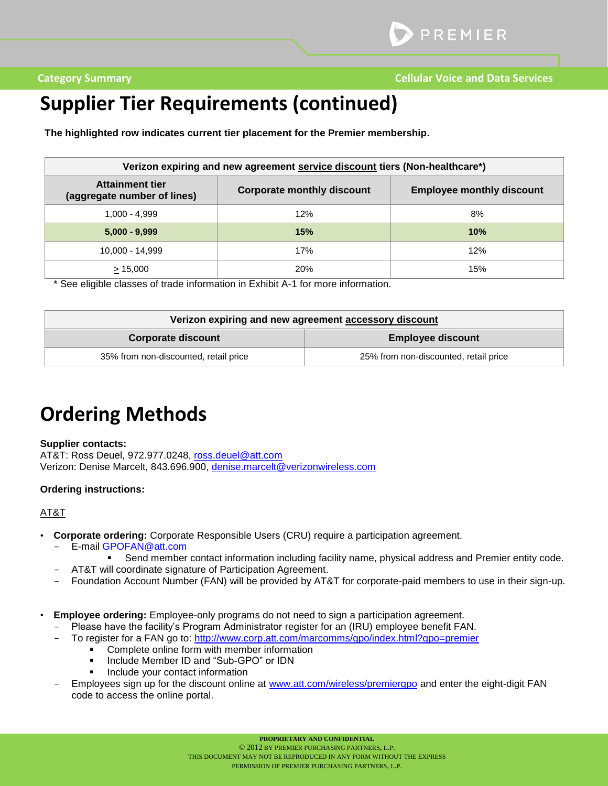## **Supplier Tier Requirements (continued)**

**The highlighted row indicates current tier placement for the Premier membership.**

| Verizon expiring and new agreement service discount tiers (Non-healthcare*) |                                   |                                  |  |
|-----------------------------------------------------------------------------|-----------------------------------|----------------------------------|--|
| <b>Attainment tier</b><br>(aggregate number of lines)                       | <b>Corporate monthly discount</b> | <b>Employee monthly discount</b> |  |
| 1.000 - 4.999                                                               | 12%                               | 8%                               |  |
| $5,000 - 9,999$                                                             | 15%                               | 10%                              |  |
| 10,000 - 14,999                                                             | 17%                               | 12%                              |  |
| > 15,000                                                                    | <b>20%</b>                        | 15%                              |  |

\* See eligible classes of trade information in Exhibit A-1 for more information.

| Verizon expiring and new agreement accessory discount |                                       |  |
|-------------------------------------------------------|---------------------------------------|--|
| <b>Corporate discount</b>                             | <b>Employee discount</b>              |  |
| 35% from non-discounted, retail price                 | 25% from non-discounted, retail price |  |

## **Ordering Methods**

#### **Supplier contacts:**

AT&T: Ross Deuel, 972.977.0248, [ross.deuel@att.com](mailto:ross.deuel@att.com) Verizon: Denise Marcelt, 843.696.900, [denise.marcelt@verizonwireless.com](mailto:denise.marcelt@verizonwireless.com)

#### **Ordering instructions:**

### AT&T

- **Corporate ordering:** Corporate Responsible Users (CRU) require a participation agreement.
	- E-mail GPOFAN@att.com
		- Send member contact information including facility name, physical address and Premier entity code.
		- AT&T will coordinate signature of Participation Agreement.
	- Foundation Account Number (FAN) will be provided by AT&T for corporate-paid members to use in their sign-up.
- **Employee ordering:** Employee-only programs do not need to sign a participation agreement.
	- Please have the facility's Program Administrator register for an (IRU) employee benefit FAN.
		- To register for a FAN go to: http://www.corp.att.com/marcomms/gpo/index.html?gpo=premier
			- **•** Complete online form with member information
			- **IDED** Include Member ID and "Sub-GPO" or IDN
			- Include your contact information
	- Employees sign up for the discount online at [www.att.com/wireless/premiergpo](http://www.att.com/wireless/premiergpo) and enter the eight-digit FAN code to access the online portal.

**PROPRIETARY AND CONFIDENTIAL**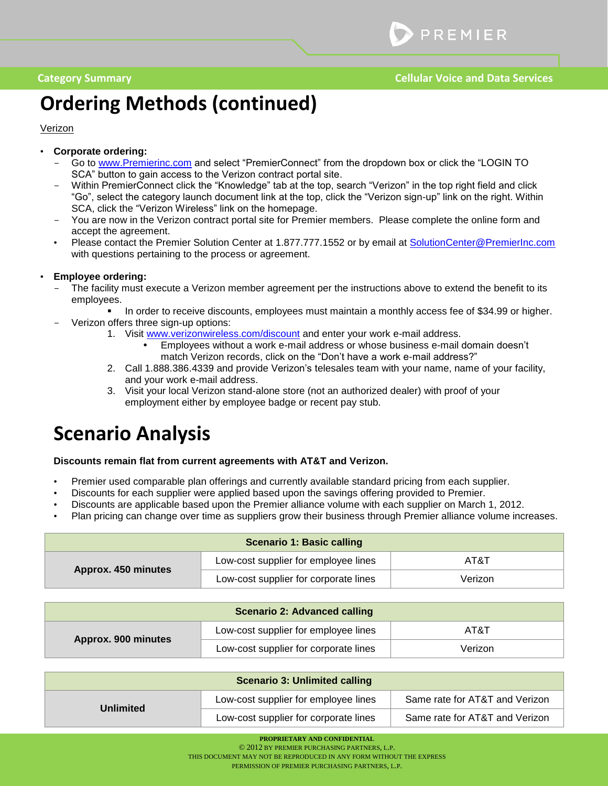# **Ordering Methods (continued)**

### Verizon

### • **Corporate ordering:**

- Go to [www.Premierinc.com](http://www.premierinc.com/) and select "PremierConnect" from the dropdown box or click the "LOGIN TO SCA" button to gain access to the Verizon contract portal site.
- Within PremierConnect click the "Knowledge" tab at the top, search "Verizon" in the top right field and click "Go", select the category launch document link at the top, click the "Verizon sign-up" link on the right. Within SCA, click the "Verizon Wireless" link on the homepage.
- You are now in the Verizon contract portal site for Premier members. Please complete the online form and accept the agreement.
- Please contact the Premier Solution Center at 1.877.777.1552 or by email at [SolutionCenter@PremierInc.com](mailto:SolutionCenter@PremierInc.com) with questions pertaining to the process or agreement.

### • **Employee ordering:**

- The facility must execute a Verizon member agreement per the instructions above to extend the benefit to its employees.
	- **In order to receive discounts, employees must maintain a monthly access fee of \$34.99 or higher.**
	- Verizon offers three sign-up options:
		- 1. Visit [www.verizonwireless.com/discount](http://www.verizonwireless.com/discount) and enter your work e-mail address.
			- Employees without a work e-mail address or whose business e-mail domain doesn't match Verizon records, click on the "Don't have a work e-mail address?"
		- 2. Call 1.888.386.4339 and provide Verizon's telesales team with your name, name of your facility, and your work e-mail address.
		- 3. Visit your local Verizon stand-alone store (not an authorized dealer) with proof of your employment either by employee badge or recent pay stub.

### <span id="page-4-0"></span>**Scenario Analysis**

#### **Discounts remain flat from current agreements with AT&T and Verizon.**

- Premier used comparable plan offerings and currently available standard pricing from each supplier.
- Discounts for each supplier were applied based upon the savings offering provided to Premier.
- Discounts are applicable based upon the Premier alliance volume with each supplier on March 1, 2012.
- Plan pricing can change over time as suppliers grow their business through Premier alliance volume increases.

| <b>Scenario 1: Basic calling</b> |                                       |         |
|----------------------------------|---------------------------------------|---------|
| Approx. 450 minutes              | Low-cost supplier for employee lines  | AT&T    |
|                                  | Low-cost supplier for corporate lines | Verizon |

| <b>Scenario 2: Advanced calling</b> |                                       |         |  |
|-------------------------------------|---------------------------------------|---------|--|
| Approx. 900 minutes                 | Low-cost supplier for employee lines  | AT&T    |  |
|                                     | Low-cost supplier for corporate lines | Verizon |  |

| <b>Scenario 3: Unlimited calling</b> |                                       |                                |  |
|--------------------------------------|---------------------------------------|--------------------------------|--|
| <b>Unlimited</b>                     | Low-cost supplier for employee lines  | Same rate for AT&T and Verizon |  |
|                                      | Low-cost supplier for corporate lines | Same rate for AT&T and Verizon |  |

**PROPRIETARY AND CONFIDENTIAL**

© 2012 BY PREMIER PURCHASING PARTNERS, L.P.

THIS DOCUMENT MAY NOT BE REPRODUCED IN ANY FORM WITHOUT THE EXPRESS

PERMISSION OF PREMIER PURCHASING PARTNERS, L.P.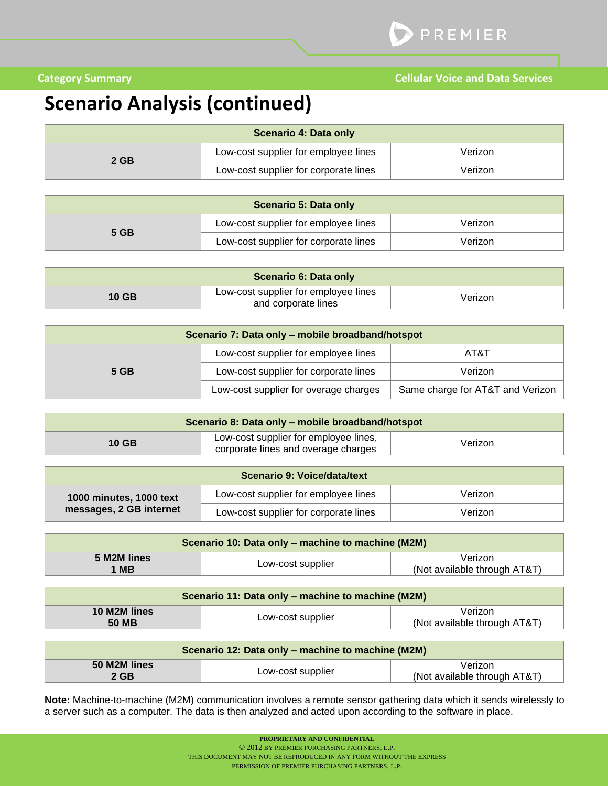## **Scenario Analysis (continued)**

| Scenario 4: Data only |                                       |         |
|-----------------------|---------------------------------------|---------|
| 2 GB                  | Low-cost supplier for employee lines  | Verizon |
|                       | Low-cost supplier for corporate lines | Verizon |

| <b>Scenario 5: Data only</b> |                                       |         |
|------------------------------|---------------------------------------|---------|
| 5 GB                         | Low-cost supplier for employee lines  | Verizon |
|                              | Low-cost supplier for corporate lines | Verizon |

| <b>Scenario 6: Data only</b> |                                                             |         |
|------------------------------|-------------------------------------------------------------|---------|
| $10$ GB                      | Low-cost supplier for employee lines<br>and corporate lines | Verizon |

| Scenario 7: Data only - mobile broadband/hotspot |                                       |                                  |
|--------------------------------------------------|---------------------------------------|----------------------------------|
| 5 GB                                             | Low-cost supplier for employee lines  | AT&T                             |
|                                                  | Low-cost supplier for corporate lines | Verizon                          |
|                                                  | Low-cost supplier for overage charges | Same charge for AT&T and Verizon |

| Scenario 8: Data only – mobile broadband/hotspot |                                                                              |         |
|--------------------------------------------------|------------------------------------------------------------------------------|---------|
| 10 GB                                            | Low-cost supplier for employee lines,<br>corporate lines and overage charges | Verizon |

| Scenario 9: Voice/data/text |                                       |         |
|-----------------------------|---------------------------------------|---------|
| 1000 minutes, 1000 text     | Low-cost supplier for employee lines  | Verizon |
| messages, 2 GB internet     | Low-cost supplier for corporate lines | Verizon |

| Scenario 10: Data only – machine to machine (M2M) |                   |                                         |
|---------------------------------------------------|-------------------|-----------------------------------------|
| 5 M2M lines<br><b>MB</b>                          | Low-cost supplier | Verizon<br>(Not available through AT&T) |

| Scenario 11: Data only – machine to machine (M2M) |                   |                                         |
|---------------------------------------------------|-------------------|-----------------------------------------|
| 10 M2M lines<br><b>50 MB</b>                      | Low-cost supplier | Verizon<br>(Not available through AT&T) |

| Scenario 12: Data only – machine to machine (M2M) |                   |                                         |
|---------------------------------------------------|-------------------|-----------------------------------------|
| 50 M2M lines<br>2 GB                              | Low-cost supplier | Verizon<br>(Not available through AT&T) |

**Note:** Machine-to-machine (M2M) communication involves a remote sensor gathering data which it sends wirelessly to a server such as a computer. The data is then analyzed and acted upon according to the software in place.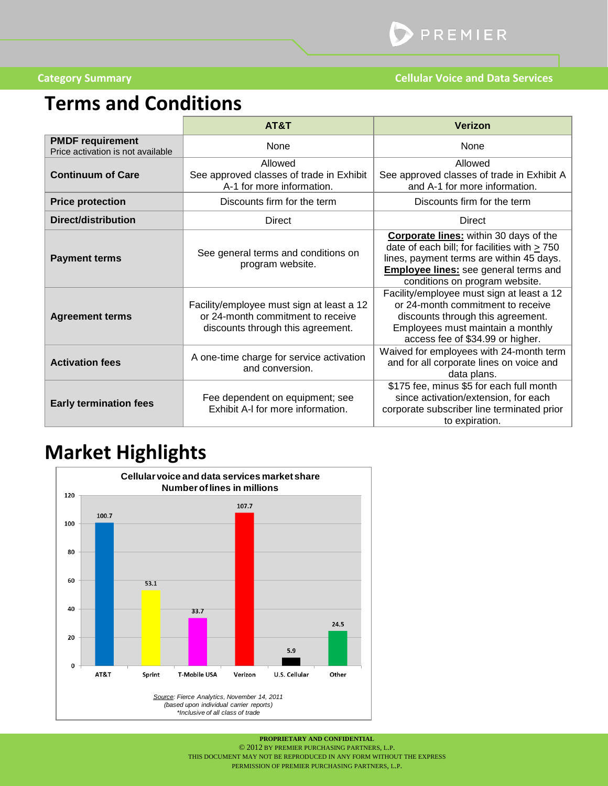# <span id="page-6-1"></span><span id="page-6-0"></span>**Terms and Conditions**

|                                                              | AT&T                                                                                                                | <b>Verizon</b>                                                                                                                                                                                                                   |
|--------------------------------------------------------------|---------------------------------------------------------------------------------------------------------------------|----------------------------------------------------------------------------------------------------------------------------------------------------------------------------------------------------------------------------------|
| <b>PMDF requirement</b><br>Price activation is not available | None                                                                                                                | None                                                                                                                                                                                                                             |
| <b>Continuum of Care</b>                                     | Allowed<br>See approved classes of trade in Exhibit<br>A-1 for more information.                                    | Allowed<br>See approved classes of trade in Exhibit A<br>and A-1 for more information.                                                                                                                                           |
| <b>Price protection</b>                                      | Discounts firm for the term                                                                                         | Discounts firm for the term                                                                                                                                                                                                      |
| <b>Direct/distribution</b>                                   | <b>Direct</b>                                                                                                       | <b>Direct</b>                                                                                                                                                                                                                    |
| <b>Payment terms</b>                                         | See general terms and conditions on<br>program website.                                                             | <b>Corporate lines:</b> within 30 days of the<br>date of each bill; for facilities with $\geq$ 750<br>lines, payment terms are within 45 days.<br><b>Employee lines:</b> see general terms and<br>conditions on program website. |
| <b>Agreement terms</b>                                       | Facility/employee must sign at least a 12<br>or 24-month commitment to receive<br>discounts through this agreement. | Facility/employee must sign at least a 12<br>or 24-month commitment to receive<br>discounts through this agreement.<br>Employees must maintain a monthly<br>access fee of \$34.99 or higher.                                     |
| <b>Activation fees</b>                                       | A one-time charge for service activation<br>and conversion.                                                         | Waived for employees with 24-month term<br>and for all corporate lines on voice and<br>data plans.                                                                                                                               |
| <b>Early termination fees</b>                                | Fee dependent on equipment; see<br>Exhibit A-I for more information.                                                | \$175 fee, minus \$5 for each full month<br>since activation/extension, for each<br>corporate subscriber line terminated prior<br>to expiration.                                                                                 |

# **Market Highlights**